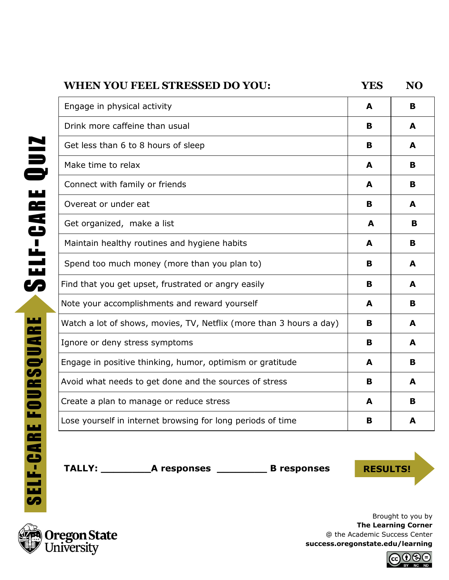| <b>WHEN YOU FEEL STRESSED DO YOU:</b>                               | <b>YES</b> | <b>NO</b> |
|---------------------------------------------------------------------|------------|-----------|
| Engage in physical activity                                         | A          | B         |
| Drink more caffeine than usual                                      | B          | A         |
| Get less than 6 to 8 hours of sleep                                 | B          | A         |
| Make time to relax                                                  | A          | B         |
| Connect with family or friends                                      | A          | B         |
| Overeat or under eat                                                | в          | A         |
| Get organized, make a list                                          | A          | В         |
| Maintain healthy routines and hygiene habits                        | A          | В         |
| Spend too much money (more than you plan to)                        | B          | A         |
| Find that you get upset, frustrated or angry easily                 | в          | A         |
| Note your accomplishments and reward yourself                       | A          | в         |
| Watch a lot of shows, movies, TV, Netflix (more than 3 hours a day) | B          | A         |
| Ignore or deny stress symptoms                                      | в          | A         |
| Engage in positive thinking, humor, optimism or gratitude           | A          | В         |
| Avoid what needs to get done and the sources of stress              | в          | A         |
| Create a plan to manage or reduce stress                            | A          | B         |
| Lose yourself in internet browsing for long periods of time         | B          | A         |

TALLY: \_\_\_\_\_\_\_\_\_\_\_\_A responses \_\_\_\_\_\_\_\_\_\_\_\_\_\_\_\_\_\_\_\_B responses **RESULTS!** 

**Oregon State**<br>University

Brought to you by **The Learning Corner** @ the Academic Success Center **success.oregonstate.edu/learning**